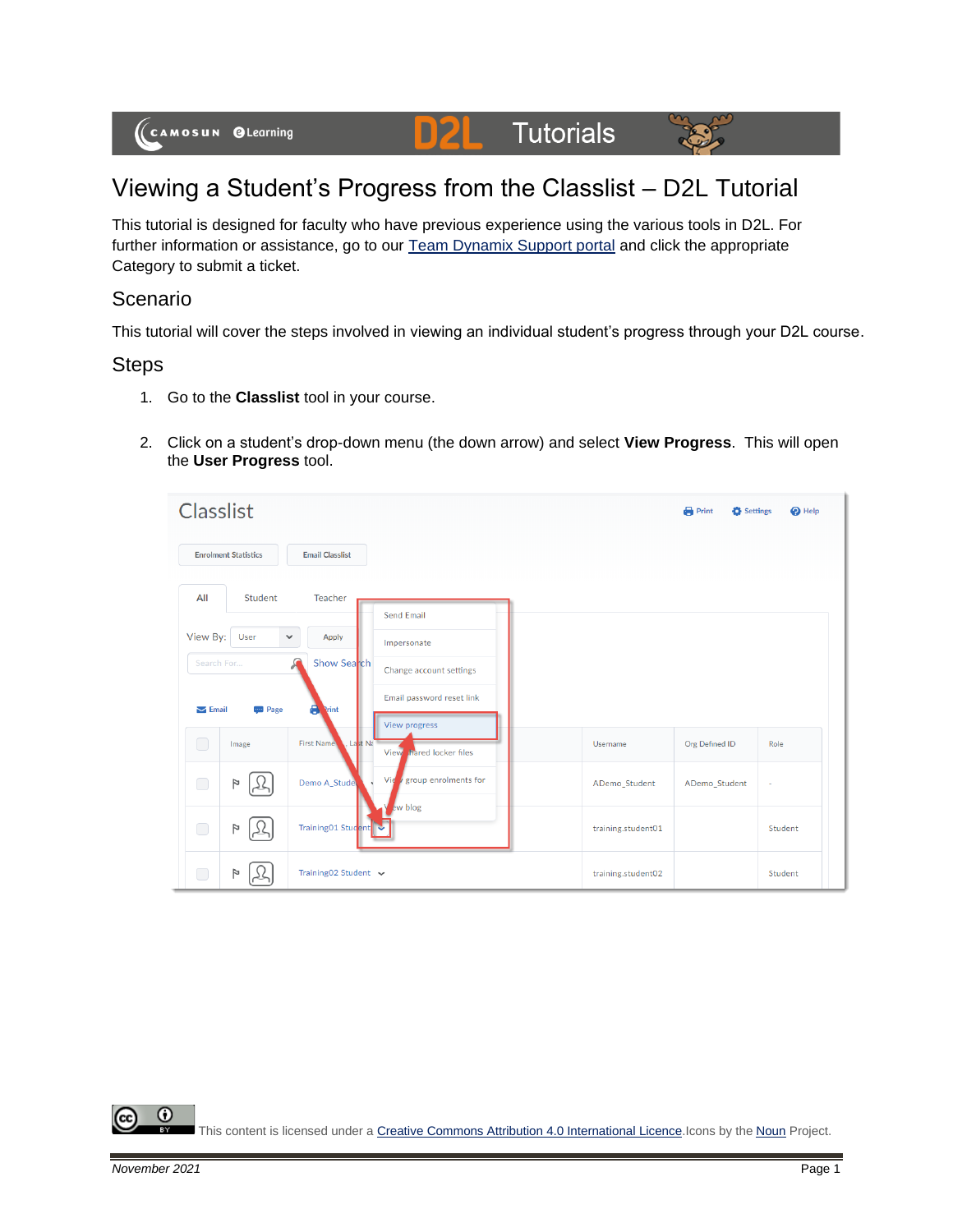

## Viewing a Student's Progress from the Classlist – D2L Tutorial

This tutorial is designed for faculty who have previous experience using the various tools in D2L. For further information or assistance, go to our [Team Dynamix Support portal](https://camosun.teamdynamix.com/TDClient/67/Portal/Requests/ServiceCatalog?CategoryID=523) and click the appropriate Category to submit a ticket.

## Scenario

This tutorial will cover the steps involved in viewing an individual student's progress through your D2L course.

## **Steps**

- 1. Go to the **Classlist** tool in your course.
- 2. Click on a student's drop-down menu (the down arrow) and select **View Progress**. This will open the **User Progress** tool.

| <b>Classlist</b>                                      |                                                   |                    | <b>Print</b><br>Settings | $\bullet$ Help |
|-------------------------------------------------------|---------------------------------------------------|--------------------|--------------------------|----------------|
| <b>Enrolment Statistics</b><br><b>Email Classlist</b> |                                                   |                    |                          |                |
| All<br>Teacher<br>Student                             |                                                   |                    |                          |                |
| View By:<br>User<br>Apply<br>$\checkmark$             | <b>Send Email</b><br>Impersonate                  |                    |                          |                |
| Search For<br>Show Search                             | Change account settings                           |                    |                          |                |
| 8<br>$\sum$ Email<br><b>Page</b><br><b>Print</b>      | Email password reset link<br><b>View progress</b> |                    |                          |                |
| □<br><b>First Name</b><br>Image<br>. Last Na          | View hared locker files                           | Username           | Org Defined ID           | Role           |
| $\Box$<br>Demo A_Stude<br>P                           | group enrolments for<br>Vie                       | ADemo_Student      | ADemo_Student            | ٠              |
| Training01 Student<br>□<br>P                          | ew blog                                           | training.student01 |                          | Student        |
| □<br>Training02 Student v<br>Þ                        |                                                   | training.student02 |                          | Student        |

⋒ This content is licensed under [a Creative Commons Attribution 4.0 International Licence.I](https://creativecommons.org/licenses/by/4.0/)cons by the [Noun](https://creativecommons.org/website-icons/) Project.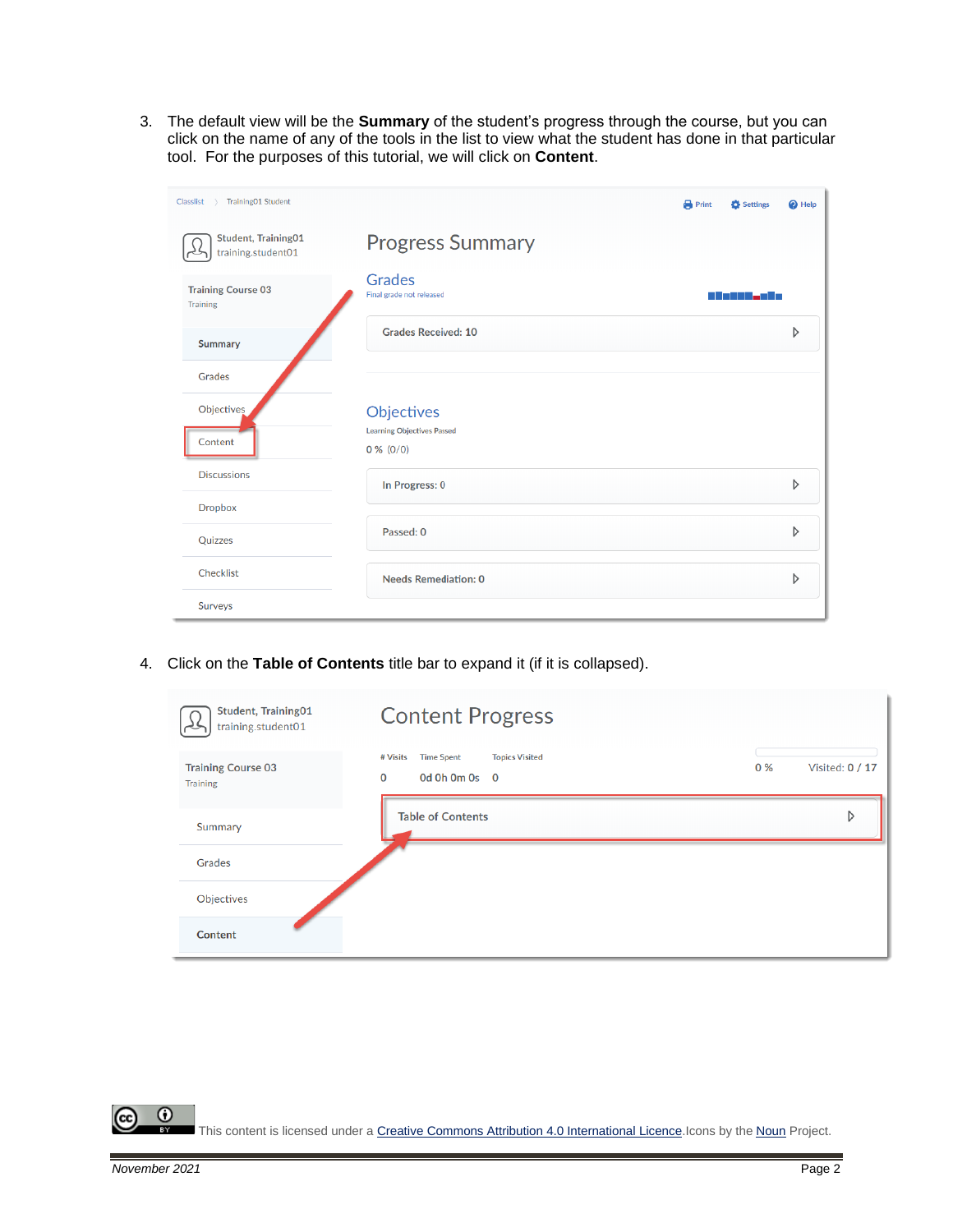3. The default view will be the **Summary** of the student's progress through the course, but you can click on the name of any of the tools in the list to view what the student has done in that particular tool. For the purposes of this tutorial, we will click on **Content**.

| Training01 Student<br>Classlist<br>$\rightarrow$ |                                                  | <b>Print</b> | Settings                     | <sup>O</sup> Help |
|--------------------------------------------------|--------------------------------------------------|--------------|------------------------------|-------------------|
| <b>Student, Training01</b><br>training.student01 | <b>Progress Summary</b>                          |              |                              |                   |
| <b>Training Course 03</b><br><b>Training</b>     | <b>Grades</b><br>Final grade not released        |              | <u>sa Masihi wa Mwaka Wa</u> |                   |
| Summary                                          | <b>Grades Received: 10</b>                       |              |                              | D                 |
| Grades                                           |                                                  |              |                              |                   |
| Objectives                                       | Objectives                                       |              |                              |                   |
| Content                                          | <b>Learning Objectives Passed</b><br>$0\%$ (0/0) |              |                              |                   |
| <b>Discussions</b>                               | In Progress: 0                                   |              |                              | D                 |
| <b>Dropbox</b>                                   |                                                  |              |                              |                   |
| Quizzes                                          | Passed: 0                                        |              |                              | D                 |
| Checklist                                        | <b>Needs Remediation: 0</b>                      |              |                              | D                 |
| Surveys                                          |                                                  |              |                              |                   |

4. Click on the **Table of Contents** title bar to expand it (if it is collapsed).

| <b>Student, Training01</b><br>training.student01 | <b>Content Progress</b>                                                            |                 |
|--------------------------------------------------|------------------------------------------------------------------------------------|-----------------|
| <b>Training Course 03</b><br><b>Training</b>     | <b>Topics Visited</b><br># Visits<br><b>Time Spent</b><br>0%<br>0<br>Od Oh Om Os 0 | Visited: 0 / 17 |
| Summary                                          | <b>Table of Contents</b>                                                           | D               |
| Grades                                           |                                                                                    |                 |
| Objectives                                       |                                                                                    |                 |
| Content                                          |                                                                                    |                 |

This content is licensed under [a Creative Commons Attribution 4.0 International Licence.I](https://creativecommons.org/licenses/by/4.0/)cons by the [Noun](https://creativecommons.org/website-icons/) Project.

 $\odot$ 

(cc